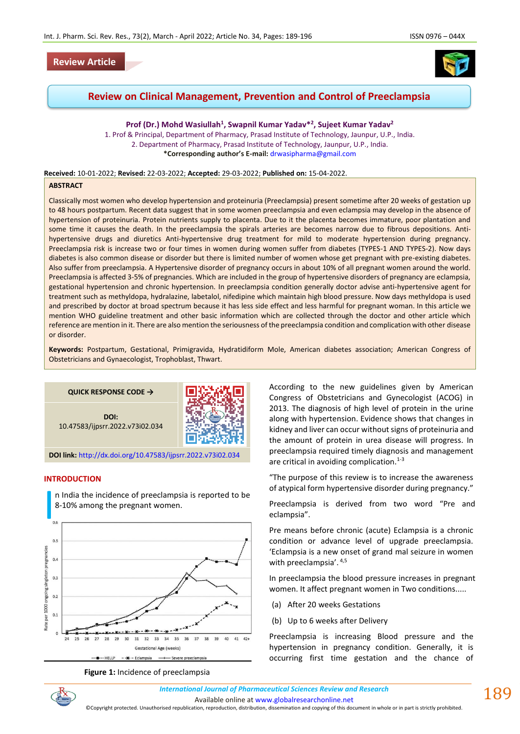## **Review Article**





# **Review on Clinical Management, Prevention and Control of Preeclampsia**

**Prof (Dr.) Mohd Wasiullah<sup>1</sup> , Swapnil Kumar Yadav\* 2 , Sujeet Kumar Yadav<sup>2</sup>**

1. Prof & Principal, Department of Pharmacy, Prasad Institute of Technology, Jaunpur, U.P., India. 2. Department of Pharmacy, Prasad Institute of Technology, Jaunpur, U.P., India. **\*Corresponding author's E-mail:** [drwasipharma@gmail.com](mailto:drwasipharma@gmail.com)

**Received:** 10-01-2022; **Revised:** 22-03-2022; **Accepted:** 29-03-2022; **Published on:** 15-04-2022.

#### **ABSTRACT**

Classically most women who develop hypertension and proteinuria (Preeclampsia) present sometime after 20 weeks of gestation up to 48 hours postpartum. Recent data suggest that in some women preeclampsia and even eclampsia may develop in the absence of hypertension of proteinuria. Protein nutrients supply to placenta. Due to it the placenta becomes immature, poor plantation and some time it causes the death. In the preeclampsia the spirals arteries are becomes narrow due to fibrous depositions. Antihypertensive drugs and diuretics Anti-hypertensive drug treatment for mild to moderate hypertension during pregnancy. Preeclampsia risk is increase two or four times in women during women suffer from diabetes (TYPES-1 AND TYPES-2). Now days diabetes is also common disease or disorder but there is limited number of women whose get pregnant with pre-existing diabetes. Also suffer from preeclampsia. A Hypertensive disorder of pregnancy occurs in about 10% of all pregnant women around the world. Preeclampsia is affected 3-5% of pregnancies. Which are included in the group of hypertensive disorders of pregnancy are eclampsia, gestational hypertension and chronic hypertension. In preeclampsia condition generally doctor advise anti-hypertensive agent for treatment such as methyldopa, hydralazine, labetalol, nifedipine which maintain high blood pressure. Now days methyldopa is used and prescribed by doctor at broad spectrum because it has less side effect and less harmful for pregnant woman. In this article we mention WHO guideline treatment and other basic information which are collected through the doctor and other article which reference are mention in it. There are also mention the seriousness of the preeclampsia condition and complication with other disease or disorder.

**Keywords:** Postpartum, Gestational, Primigravida, Hydratidiform Mole, American diabetes association; American Congress of Obstetricians and Gynaecologist, Trophoblast, Thwart.

#### **QUICK RESPONSE CODE →**

**DOI:** 10.47583/ijpsrr.2022.v73i02.034

8-10% among the pregnant women.



**DOI link:** <http://dx.doi.org/10.47583/ijpsrr.2022.v73i02.034>

n India the incidence of preeclampsia is reported to be

#### **INTRODUCTION**

**I**  $0.5$ pregnar  $0.4$ Rate per 1000 ongoing singleton  $0.3$  $0.2$  $0.1$  $26$  $27$ 28  $31$ 32 33 34 35 36  $37$ 38 39 40 41 42+ **Gestational Age (weeks)** - Severe preeclampsia

**Figure 1:** Incidence of preeclampsia

According to the new guidelines given by American Congress of Obstetricians and Gynecologist (ACOG) in 2013. The diagnosis of high level of protein in the urine along with hypertension. Evidence shows that changes in kidney and liver can occur without signs of proteinuria and the amount of protein in urea disease will progress. In preeclampsia required timely diagnosis and management are critical in avoiding complication.<sup>1-3</sup>

"The purpose of this review is to increase the awareness of atypical form hypertensive disorder during pregnancy."

Preeclampsia is derived from two word "Pre and eclampsia".

Pre means before chronic (acute) Eclampsia is a chronic condition or advance level of upgrade preeclampsia. 'Eclampsia is a new onset of grand mal seizure in women with preeclampsia'. 4,5

In preeclampsia the blood pressure increases in pregnant women. It affect pregnant women in Two conditions.....

- (a) After 20 weeks Gestations
- (b) Up to 6 weeks after Delivery

Preeclampsia is increasing Blood pressure and the hypertension in pregnancy condition. Generally, it is occurring first time gestation and the chance of

*International Journal of Pharmaceutical Sciences Review and Research International Journal of Pharmaceutical Sciences Review and Research*

Available online a[t www.globalresearchonline.net](http://www.globalresearchonline.net/)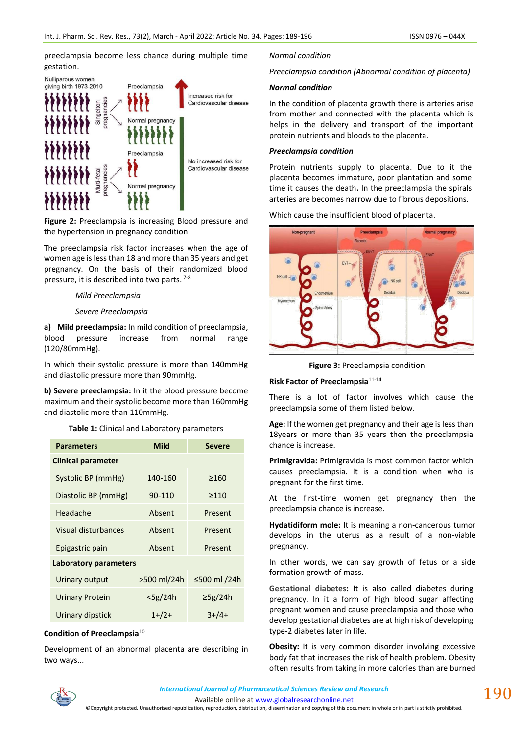preeclampsia become less chance during multiple time gestation.



**Figure 2:** Preeclampsia is increasing Blood pressure and the hypertension in pregnancy condition

The preeclampsia risk factor increases when the age of women age is less than 18 and more than 35 years and get pregnancy. On the basis of their randomized blood pressure, it is described into two parts. 7-8

#### *Mild Preeclampsia*

#### *Severe Preeclampsia*

**a) Mild preeclampsia:** In mild condition of preeclampsia, blood pressure increase from normal range (120/80mmHg).

In which their systolic pressure is more than 140mmHg and diastolic pressure more than 90mmHg.

**b) Severe preeclampsia:** In it the blood pressure become maximum and their systolic become more than 160mmHg and diastolic more than 110mmHg.

**Table 1:** Clinical and Laboratory parameters

| <b>Parameters</b>         | Mild        | <b>Severe</b> |  |  |  |  |
|---------------------------|-------------|---------------|--|--|--|--|
| <b>Clinical parameter</b> |             |               |  |  |  |  |
| Systolic BP (mmHg)        | 140-160     | >160          |  |  |  |  |
| Diastolic BP (mmHg)       | 90-110      | >110          |  |  |  |  |
| Headache                  | Absent      | Present       |  |  |  |  |
| Visual disturbances       | Absent      | Present       |  |  |  |  |
| Epigastric pain           | Absent      | Present       |  |  |  |  |
| Laboratory parameters     |             |               |  |  |  |  |
| Urinary output            | >500 ml/24h | ≤500 ml /24h  |  |  |  |  |
| <b>Urinary Protein</b>    | $<$ 5g/24h  | $\geq$ 5g/24h |  |  |  |  |
| <b>Urinary dipstick</b>   | $1+ / 2 +$  | $3+74+$       |  |  |  |  |

#### **Condition of Preeclampsia**<sup>10</sup>

Development of an abnormal placenta are describing in two ways...

*Normal condition*

*Preeclampsia condition (Abnormal condition of placenta)*

#### *Normal condition*

In the condition of placenta growth there is arteries arise from mother and connected with the placenta which is helps in the delivery and transport of the important protein nutrients and bloods to the placenta.

#### *Preeclampsia condition*

Protein nutrients supply to placenta. Due to it the placenta becomes immature, poor plantation and some time it causes the death**.** In the preeclampsia the spirals arteries are becomes narrow due to fibrous depositions.

Which cause the insufficient blood of placenta.



**Figure 3:** Preeclampsia condition

# **Risk Factor of Preeclampsia**11-14

There is a lot of factor involves which cause the preeclampsia some of them listed below.

**Age:** If the women get pregnancy and their age is less than 18years or more than 35 years then the preeclampsia chance is increase.

**Primigravida:** Primigravida is most common factor which causes preeclampsia. It is a condition when who is pregnant for the first time.

At the first-time women get pregnancy then the preeclampsia chance is increase.

**Hydatidiform mole:** It is meaning a non-cancerous tumor develops in the uterus as a result of a non-viable pregnancy.

In other words, we can say growth of fetus or a side formation growth of mass.

**Gestational diabetes:** It is also called diabetes during pregnancy. In it a form of high blood sugar affecting pregnant women and cause preeclampsia and those who develop gestational diabetes are at high risk of developing type-2 diabetes later in life.

**Obesity:** It is very common disorder involving excessive body fat that increases the risk of health problem. Obesity often results from taking in more calories than are burned



Available online a[t www.globalresearchonline.net](http://www.globalresearchonline.net/)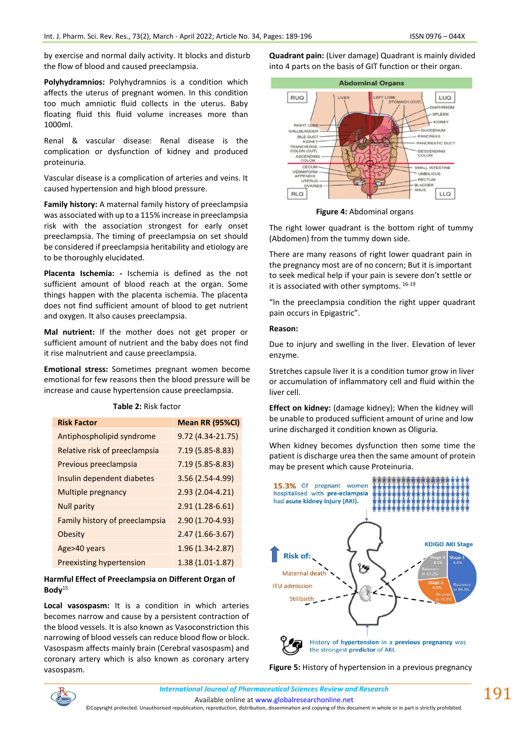by exercise and normal daily activity. It blocks and disturb the flow of blood and caused preeclampsia.

**Polyhydramnios:** Polyhydramnios is a condition which affects the uterus of pregnant women. In this condition too much amniotic fluid collects in the uterus. Baby floating fluid this fluid volume increases more than 1000ml.

Renal & vascular disease: Renal disease is the complication or dysfunction of kidney and produced proteinuria.

Vascular disease is a complication of arteries and veins. It caused hypertension and high blood pressure.

**Family history:** A maternal family history of preeclampsia was associated with up to a 115% increase in preeclampsia risk with the association strongest for early onset preeclampsia. The timing of preeclampsia on set should be considered if preeclampsia heritability and etiology are to be thoroughly elucidated.

**Placenta Ischemia: -** Ischemia is defined as the not sufficient amount of blood reach at the organ. Some things happen with the placenta ischemia. The placenta does not find sufficient amount of blood to get nutrient and oxygen. It also causes preeclampsia.

**Mal nutrient:** If the mother does not get proper or sufficient amount of nutrient and the baby does not find it rise malnutrient and cause preeclampsia.

**Emotional stress:** Sometimes pregnant women become emotional for few reasons then the blood pressure will be increase and cause hypertension cause preeclampsia.

| <b>Risk Factor</b>              | Mean RR (95%Cl)   |  |
|---------------------------------|-------------------|--|
| Antiphospholipid syndrome       | 9.72 (4.34-21.75) |  |
| Relative risk of preeclampsia   | 7.19 (5.85-8.83)  |  |
| Previous preeclampsia           | 7.19 (5.85-8.83)  |  |
| Insulin dependent diabetes      | 3.56 (2.54-4.99)  |  |
| Multiple pregnancy              | $2.93(2.04-4.21)$ |  |
| <b>Null parity</b>              | $2.91(1.28-6.61)$ |  |
| Family history of preeclampsia  | 2.90 (1.70-4.93)  |  |
| Obesity                         | $2.47(1.66-3.67)$ |  |
| Age>40 years                    | 1.96 (1.34-2.87)  |  |
| <b>Preexisting hypertension</b> | 1.38 (1.01-1.87)  |  |

#### **Table 2:** Risk factor

**Harmful Effect of Preeclampsia on Different Organ of Body**<sup>15</sup>

**Local vasospasm:** It is a condition in which arteries becomes narrow and cause by a persistent contraction of the blood vessels. It is also known as Vasoconstriction this narrowing of blood vessels can reduce blood flow or block. Vasospasm affects mainly brain (Cerebral vasospasm) and coronary artery which is also known as coronary artery vasospasm.

**Quadrant pain:** (Liver damage) Quadrant is mainly divided into 4 parts on the basis of GIT function or their organ.



**Figure 4:** Abdominal organs

The right lower quadrant is the bottom right of tummy (Abdomen) from the tummy down side.

There are many reasons of right lower quadrant pain in the pregnancy most are of no concern; But it is important to seek medical help if your pain is severe don't settle or it is associated with other symptoms. 16-19

"In the preeclampsia condition the right upper quadrant pain occurs in Epigastric".

#### **Reason:**

Due to injury and swelling in the liver. Elevation of lever enzyme.

Stretches capsule liver it is a condition tumor grow in liver or accumulation of inflammatory cell and fluid within the liver cell.

**Effect on kidney:** (damage kidney); When the kidney will be unable to produced sufficient amount of urine and low urine discharged it condition known as Oliguria.

When kidney becomes dysfunction then some time the patient is discharge urea then the same amount of protein may be present which cause Proteinuria.



**Figure 5:** History of hypertension in a previous pregnancy



Available online a[t www.globalresearchonline.net](http://www.globalresearchonline.net/)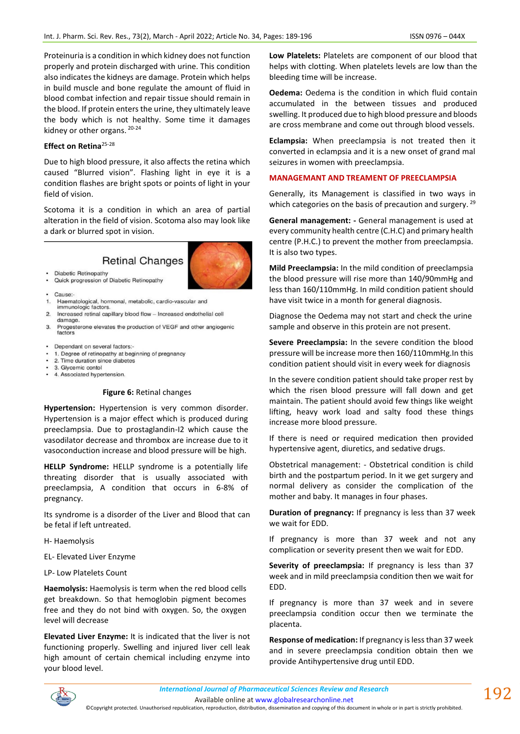Proteinuria is a condition in which kidney does not function properly and protein discharged with urine. This condition also indicates the kidneys are damage. Protein which helps in build muscle and bone regulate the amount of fluid in blood combat infection and repair tissue should remain in the blood. If protein enters the urine, they ultimately leave the body which is not healthy. Some time it damages kidney or other organs. 20-24

### **Effect on Retina**25-28

Due to high blood pressure, it also affects the retina which caused "Blurred vision". Flashing light in eye it is a condition flashes are bright spots or points of light in your field of vision.

Scotoma it is a condition in which an area of partial alteration in the field of vision. Scotoma also may look like a dark or blurred spot in vision.

# **Retinal Changes**



· Cause:-

**Diabetic Retinopathy** 

- Haematological, hormonal, metabolic, cardio-vascular and 1.
- immunologic factors.  $\overline{2}$ . Increased retinal capillary blood flow - Increased endothelial cell
- damage. Progesterone elevates the production of VEGF and other angiogenic<br>factors  $3.$
- Dependant on several factors:-
- 1. Degree of retinopathy at beginning of pregnancy

Quick progression of Diabetic Retinopathy

- 2. Time duration since diabetes
- 3. Glycemic contol
- 4. Associated hypertension.

#### **Figure 6:** Retinal changes

**Hypertension:** Hypertension is very common disorder. Hypertension is a major effect which is produced during preeclampsia. Due to prostaglandin-I2 which cause the vasodilator decrease and thrombox are increase due to it vasoconduction increase and blood pressure will be high.

**HELLP Syndrome:** HELLP syndrome is a potentially life threating disorder that is usually associated with preeclampsia, A condition that occurs in 6-8% of pregnancy.

Its syndrome is a disorder of the Liver and Blood that can be fetal if left untreated.

H- Haemolysis

- EL- Elevated Liver Enzyme
- LP- Low Platelets Count

**Haemolysis:** Haemolysis is term when the red blood cells get breakdown. So that hemoglobin pigment becomes free and they do not bind with oxygen. So, the oxygen level will decrease

**Elevated Liver Enzyme:** It is indicated that the liver is not functioning properly. Swelling and injured liver cell leak high amount of certain chemical including enzyme into your blood level.

**Low Platelets:** Platelets are component of our blood that helps with clotting. When platelets levels are low than the bleeding time will be increase.

**Oedema:** Oedema is the condition in which fluid contain accumulated in the between tissues and produced swelling. It produced due to high blood pressure and bloods are cross membrane and come out through blood vessels.

**Eclampsia:** When preeclampsia is not treated then it converted in eclampsia and it is a new onset of grand mal seizures in women with preeclampsia.

### **MANAGEMANT AND TREAMENT OF PREECLAMPSIA**

Generally, its Management is classified in two ways in which categories on the basis of precaution and surgery. <sup>29</sup>

**General management: -** General management is used at every community health centre (C.H.C) and primary health centre (P.H.C.) to prevent the mother from preeclampsia. It is also two types.

**Mild Preeclampsia:** In the mild condition of preeclampsia the blood pressure will rise more than 140/90mmHg and less than 160/110mmHg. In mild condition patient should have visit twice in a month for general diagnosis.

Diagnose the Oedema may not start and check the urine sample and observe in this protein are not present.

**Severe Preeclampsia:** In the severe condition the blood pressure will be increase more then 160/110mmHg.In this condition patient should visit in every week for diagnosis

In the severe condition patient should take proper rest by which the risen blood pressure will fall down and get maintain. The patient should avoid few things like weight lifting, heavy work load and salty food these things increase more blood pressure.

If there is need or required medication then provided hypertensive agent, diuretics, and sedative drugs.

Obstetrical management: - Obstetrical condition is child birth and the postpartum period. In it we get surgery and normal delivery as consider the complication of the mother and baby. It manages in four phases.

**Duration of pregnancy:** If pregnancy is less than 37 week we wait for EDD.

If pregnancy is more than 37 week and not any complication or severity present then we wait for EDD.

**Severity of preeclampsia:** If pregnancy is less than 37 week and in mild preeclampsia condition then we wait for EDD.

If pregnancy is more than 37 week and in severe preeclampsia condition occur then we terminate the placenta.

**Response of medication:** If pregnancy is less than 37 week and in severe preeclampsia condition obtain then we provide Antihypertensive drug until EDD.



Available online a[t www.globalresearchonline.net](http://www.globalresearchonline.net/)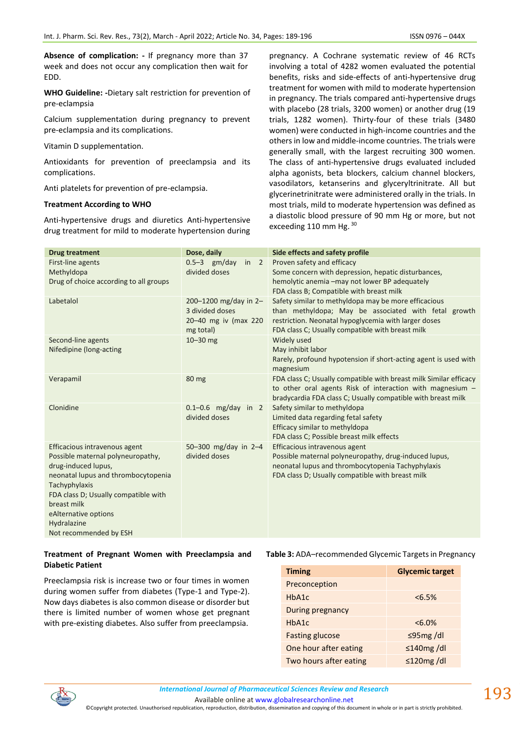**Absence of complication: -** If pregnancy more than 37 week and does not occur any complication then wait for EDD.

**WHO Guideline: -**Dietary salt restriction for prevention of pre-eclampsia

Calcium supplementation during pregnancy to prevent pre-eclampsia and its complications.

Vitamin D supplementation.

Antioxidants for prevention of preeclampsia and its complications.

Anti platelets for prevention of pre-eclampsia.

#### **Treatment According to WHO**

Anti-hypertensive drugs and diuretics Anti-hypertensive drug treatment for mild to moderate hypertension during pregnancy. A Cochrane systematic review of 46 RCTs involving a total of 4282 women evaluated the potential benefits, risks and side-effects of anti-hypertensive drug treatment for women with mild to moderate hypertension in pregnancy. The trials compared anti-hypertensive drugs with placebo (28 trials, 3200 women) or another drug (19 trials, 1282 women). Thirty-four of these trials (3480 women) were conducted in high-income countries and the others in low and middle-income countries. The trials were generally small, with the largest recruiting 300 women. The class of anti-hypertensive drugs evaluated included alpha agonists, beta blockers, calcium channel blockers, vasodilators, ketanserins and glyceryltrinitrate. All but glycerinetrinitrate were administered orally in the trials. In most trials, mild to moderate hypertension was defined as a diastolic blood pressure of 90 mm Hg or more, but not exceeding 110 mm Hg. 30

| <b>Drug treatment</b>                                                                                                                                                                                                                                                     | Dose, daily                                                                   | Side effects and safety profile                                                                                                                                                                                          |
|---------------------------------------------------------------------------------------------------------------------------------------------------------------------------------------------------------------------------------------------------------------------------|-------------------------------------------------------------------------------|--------------------------------------------------------------------------------------------------------------------------------------------------------------------------------------------------------------------------|
| First-line agents<br>Methyldopa<br>Drug of choice according to all groups                                                                                                                                                                                                 | $0.5-3$ gm/day<br>in $2$<br>divided doses                                     | Proven safety and efficacy<br>Some concern with depression, hepatic disturbances,<br>hemolytic anemia -may not lower BP adequately<br>FDA class B; Compatible with breast milk                                           |
| Labetalol                                                                                                                                                                                                                                                                 | 200-1200 mg/day in 2-<br>3 divided doses<br>20-40 mg iv (max 220<br>mg total) | Safety similar to methyldopa may be more efficacious<br>than methyldopa; May be associated with fetal growth<br>restriction. Neonatal hypoglycemia with larger doses<br>FDA class C; Usually compatible with breast milk |
| Second-line agents<br>Nifedipine (long-acting                                                                                                                                                                                                                             | $10 - 30$ mg                                                                  | Widely used<br>May inhibit labor<br>Rarely, profound hypotension if short-acting agent is used with<br>magnesium                                                                                                         |
| Verapamil                                                                                                                                                                                                                                                                 | 80 mg                                                                         | FDA class C; Usually compatible with breast milk Similar efficacy<br>to other oral agents Risk of interaction with magnesium $-$<br>bradycardia FDA class C; Usually compatible with breast milk                         |
| Clonidine                                                                                                                                                                                                                                                                 | $0.1 - 0.6$ mg/day<br>in $2$<br>divided doses                                 | Safety similar to methyldopa<br>Limited data regarding fetal safety<br>Efficacy similar to methyldopa<br>FDA class C; Possible breast milk effects                                                                       |
| Efficacious intravenous agent<br>Possible maternal polyneuropathy,<br>drug-induced lupus,<br>neonatal lupus and thrombocytopenia<br>Tachyphylaxis<br>FDA class D; Usually compatible with<br>breast milk<br>eAlternative options<br>Hydralazine<br>Not recommended by ESH | 50-300 mg/day in $2-4$<br>divided doses                                       | Efficacious intravenous agent<br>Possible maternal polyneuropathy, drug-induced lupus,<br>neonatal lupus and thrombocytopenia Tachyphylaxis<br>FDA class D; Usually compatible with breast milk                          |

### **Treatment of Pregnant Women with Preeclampsia and Diabetic Patient**

Preeclampsia risk is increase two or four times in women during women suffer from diabetes (Type-1 and Type-2). Now days diabetes is also common disease or disorder but there is limited number of women whose get pregnant with pre-existing diabetes. Also suffer from preeclampsia.

#### **Table 3:** ADA–recommended Glycemic Targets in Pregnancy

| <b>Timing</b>          | <b>Glycemic target</b> |  |
|------------------------|------------------------|--|
| Preconception          |                        |  |
| HbA1c                  | $<6.5\%$               |  |
| During pregnancy       |                        |  |
| HbA1c                  | $<6.0\%$               |  |
| <b>Fasting glucose</b> | $\leq$ 95mg/dl         |  |
| One hour after eating  | $\leq$ 140mg/dl        |  |
| Two hours after eating | $\leq$ 120mg/dl        |  |



Available online a[t www.globalresearchonline.net](http://www.globalresearchonline.net/)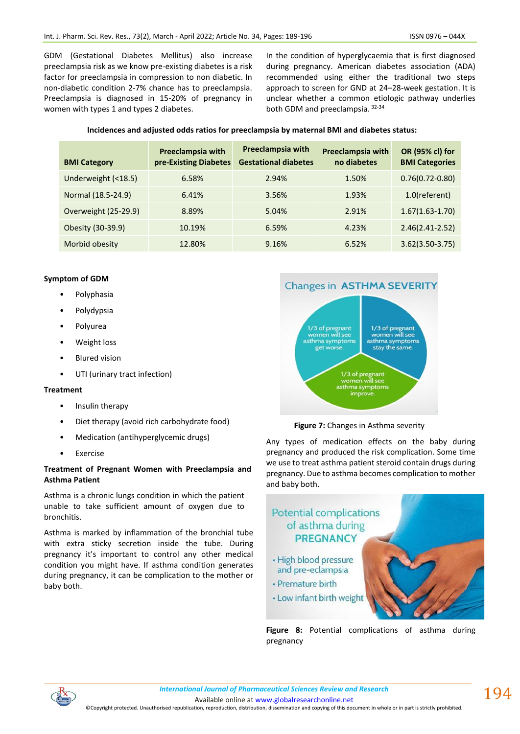GDM (Gestational Diabetes Mellitus) also increase preeclampsia risk as we know pre-existing diabetes is a risk factor for preeclampsia in compression to non diabetic. In non-diabetic condition 2-7% chance has to preeclampsia. Preeclampsia is diagnosed in 15-20% of pregnancy in women with types 1 and types 2 diabetes.

In the condition of hyperglycaemia that is first diagnosed during pregnancy. American diabetes association (ADA) recommended using either the traditional two steps approach to screen for GND at 24–28-week gestation. It is unclear whether a common etiologic pathway underlies both GDM and preeclampsia. 32-34

| Incidences and adjusted odds ratios for preeclampsia by maternal BMI and diabetes status: |
|-------------------------------------------------------------------------------------------|
|-------------------------------------------------------------------------------------------|

| <b>BMI Category</b>  | Preeclampsia with<br>pre-Existing Diabetes | Preeclampsia with<br><b>Gestational diabetes</b> | Preeclampsia with<br>no diabetes | <b>OR (95% cl) for</b><br><b>BMI Categories</b> |
|----------------------|--------------------------------------------|--------------------------------------------------|----------------------------------|-------------------------------------------------|
| Underweight (<18.5)  | 6.58%                                      | 2.94%                                            | 1.50%                            | $0.76(0.72 - 0.80)$                             |
| Normal (18.5-24.9)   | 6.41%                                      | 3.56%                                            | 1.93%                            | 1.0(referent)                                   |
| Overweight (25-29.9) | 8.89%                                      | 5.04%                                            | 2.91%                            | $1.67(1.63-1.70)$                               |
| Obesity (30-39.9)    | 10.19%                                     | 6.59%                                            | 4.23%                            | $2.46(2.41 - 2.52)$                             |
| Morbid obesity       | 12.80%                                     | 9.16%                                            | 6.52%                            | $3.62(3.50-3.75)$                               |

### **Symptom of GDM**

- Polyphasia
- **Polydypsia**
- Polyurea
- Weight loss
- Blured vision
- UTI (urinary tract infection)

### **Treatment**

- Insulin therapy
- Diet therapy (avoid rich carbohydrate food)
- Medication (antihyperglycemic drugs)
- **Exercise**

### **Treatment of Pregnant Women with Preeclampsia and Asthma Patient**

Asthma is a chronic lungs condition in which the patient unable to take sufficient amount of oxygen due to bronchitis.

Asthma is marked by inflammation of the bronchial tube with extra sticky secretion inside the tube. During pregnancy it's important to control any other medical condition you might have. If asthma condition generates during pregnancy, it can be complication to the mother or baby both.



**Figure 7:** Changes in Asthma severity

Any types of medication effects on the baby during pregnancy and produced the risk complication. Some time we use to treat asthma patient steroid contain drugs during pregnancy. Due to asthma becomes complication to mother and baby both.



**Figure 8:** Potential complications of asthma during pregnancy



194

Available online a[t www.globalresearchonline.net](http://www.globalresearchonline.net/) ©Copyright protected. Unauthorised republication, reproduction, distribution, dissemination and copying of this document in whole or in part is strictly prohibited.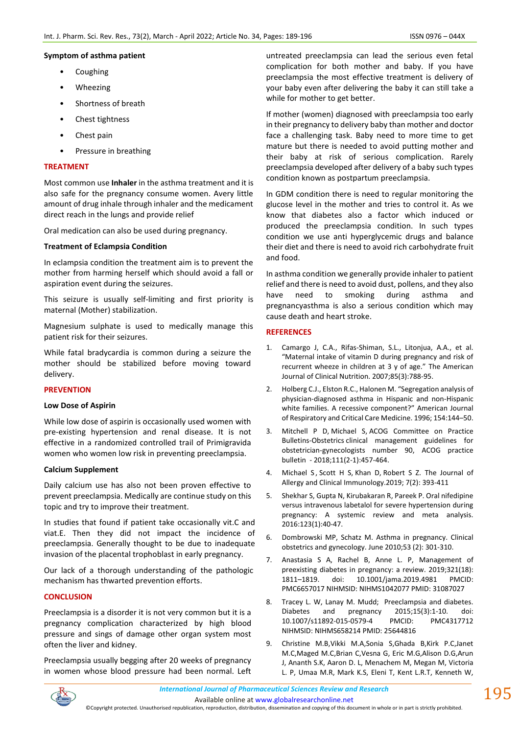#### **Symptom of asthma patient**

- **Coughing**
- Wheezing
- Shortness of breath
- Chest tightness
- Chest pain
- Pressure in breathing

### **TREATMENT**

Most common use **Inhaler** in the asthma treatment and it is also safe for the pregnancy consume women. Avery little amount of drug inhale through inhaler and the medicament direct reach in the lungs and provide relief

Oral medication can also be used during pregnancy.

#### **Treatment of Eclampsia Condition**

In eclampsia condition the treatment aim is to prevent the mother from harming herself which should avoid a fall or aspiration event during the seizures.

This seizure is usually self-limiting and first priority is maternal (Mother) stabilization.

Magnesium sulphate is used to medically manage this patient risk for their seizures.

While fatal bradycardia is common during a seizure the mother should be stabilized before moving toward delivery.

### **PREVENTION**

#### **Low Dose of Aspirin**

While low dose of aspirin is occasionally used women with pre-existing hypertension and renal disease. It is not effective in a randomized controlled trail of Primigravida women who women low risk in preventing preeclampsia.

#### **Calcium Supplement**

Daily calcium use has also not been proven effective to prevent preeclampsia. Medically are continue study on this topic and try to improve their treatment.

In studies that found if patient take occasionally vit.C and viat.E. Then they did not impact the incidence of preeclampsia. Generally thought to be due to inadequate invasion of the placental trophoblast in early pregnancy.

Our lack of a thorough understanding of the pathologic mechanism has thwarted prevention efforts.

# **CONCLUSION**

Preeclampsia is a disorder it is not very common but it is a pregnancy complication characterized by high blood pressure and sings of damage other organ system most often the liver and kidney.

Preeclampsia usually begging after 20 weeks of pregnancy in women whose blood pressure had been normal. Left

untreated preeclampsia can lead the serious even fetal complication for both mother and baby. If you have preeclampsia the most effective treatment is delivery of your baby even after delivering the baby it can still take a while for mother to get better.

If mother (women) diagnosed with preeclampsia too early in their pregnancy to delivery baby than mother and doctor face a challenging task. Baby need to more time to get mature but there is needed to avoid putting mother and their baby at risk of serious complication. Rarely preeclampsia developed after delivery of a baby such types condition known as postpartum preeclampsia.

In GDM condition there is need to regular monitoring the glucose level in the mother and tries to control it. As we know that diabetes also a factor which induced or produced the preeclampsia condition. In such types condition we use anti hyperglycemic drugs and balance their diet and there is need to avoid rich carbohydrate fruit and food.

In asthma condition we generally provide inhaler to patient relief and there is need to avoid dust, pollens, and they also have need to smoking during asthma and pregnancyasthma is also a serious condition which may cause death and heart stroke.

### **REFERENCES**

- 1. Camargo J, C.A., Rifas-Shiman, S.L., Litonjua, A.A., et al. "Maternal intake of vitamin D during pregnancy and risk of recurrent wheeze in children at 3 y of age." The American Journal of Clinical Nutrition. 2007;85(3):788-95.
- 2. Holberg C.J., Elston R.C., Halonen M. "Segregation analysis of physician-diagnosed asthma in Hispanic and non-Hispanic white families. A recessive component?" American Journal of Respiratory and Critical Care Medicine. 1996; 154:144–50.
- 3. Mitchell P D, Michael S, ACOG Committee on Practice Bulletins-Obstetrics clinical management guidelines for obstetrician-gynecologists number 90, ACOG practice bulletin - 2018;111(2-1):457-464.
- 4. Michael S, Scott H S, Khan D, Robert S Z. The Journal of Allergy and Clinical Immunology.2019; 7(2): 393-411
- 5. Shekhar S, Gupta N, Kirubakaran R, Pareek P. Oral nifedipine versus intravenous labetalol for severe hypertension during pregnancy: A systemic review and meta analysis. 2016:123(1):40-47.
- 6. Dombrowski MP, Schatz M. Asthma in pregnancy. Clinical obstetrics and gynecology[. June 2010;53 \(2\): 301-310.](https://journals.lww.com/clinicalobgyn/toc/2010/06000)
- 7. Anastasia S A, Rachel B, Anne L. P, Management of preexisting diabetes in pregnancy: a review. 2019;321(18): 1811–1819. doi: 10.1001/jama.2019.4981 PMCID: PMC6657017 NIHMSID: NIHMS1042077 PMID: 31087027
- 8. Tracey L. W, Lanay M. Mudd; Preeclampsia and diabetes. Diabetes and pregnancy 2015;15(3):1-10. doi: 10.1007/s11892-015-0579-4 PMCID: PMC4317712 NIHMSID: NIHMS658214 PMID: 25644816
- 9. Christine M.B,Vikki M.A,Sonia S,Ghada B,Kirk P.C,Janet M.C,Maged M.C,Brian C,Vesna G, Eric M.G,Alison D.G,Arun J, Ananth S.K, Aaron D. L, Menachem M, Megan M, Victoria L. P, Umaa M.R, Mark K.S, Eleni T, Kent L.R.T, Kenneth W,